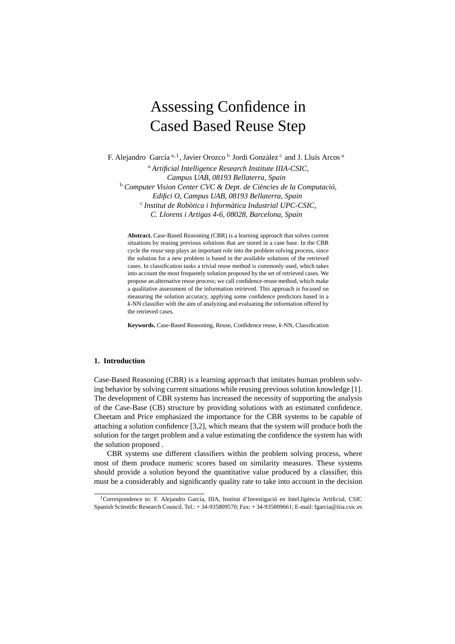# Assessing Confidence in Cased Based Reuse Step

F. Alejandro García<sup>a, 1</sup>, Javier Orozco<sup>b</sup> Jordi Gonzàlez<sup>c</sup> and J. Lluís Arcos<sup>a</sup>

<sup>a</sup> *Artificial Intelligence Research Institute IIIA-CSIC, Campus UAB, 08193 Bellaterra, Spain* <sup>b</sup> *Computer Vision Center CVC & Dept. de Ciències de la Computació, Edifici O, Campus UAB, 08193 Bellaterra, Spain* c *Institut de Robòtica i Informàtica Industrial UPC-CSIC, C. Llorens i Artigas 4-6, 08028, Barcelona, Spain*

**Abstract.** Case-Based Reasoning (CBR) is a learning approach that solves current situations by reusing previous solutions that are stored in a case base. In the CBR cycle the *reuse* step plays an important role into the problem solving process, since the solution for a new problem is based in the available solutions of the retrieved cases. In classification tasks a trivial reuse method is commonly used, which takes into account the most frequently solution proposed by the set of retrieved cases. We propose an alternative reuse process; we call confidence-reuse method, which make a qualitative assessment of the information retrieved. This approach is focused on measuring the solution accuracy, applying some confidence predictors based in a *k*-NN classifier with the aim of analyzing and evaluating the information offered by the retrieved cases.

**Keywords.** Case-Based Reasoning, Reuse, Confidence reuse, *k*-NN, Classification

# **1. Introduction**

Case-Based Reasoning (CBR) is a learning approach that imitates human problem solving behavior by solving current situations while reusing previous solution knowledge [1]. The development of CBR systems has increased the necessity of supporting the analysis of the Case-Base (CB) structure by providing solutions with an estimated confidence. Cheetam and Price emphasized the importance for the CBR systems to be capable of attaching a solution confidence [3,2], which means that the system will produce both the solution for the target problem and a value estimating the confidence the system has with the solution proposed .

CBR systems use different classifiers within the problem solving process, where most of them produce numeric scores based on similarity measures. These systems should provide a solution beyond the quantitative value produced by a classifier, this must be a considerably and significantly quality rate to take into account in the decision

<sup>&</sup>lt;sup>1</sup>Correspondence to: F. Alejandro García, IIIA, Institut d'Investigació en Intel.ligència Artificial, CSIC Spanish Scientific Research Council. Tel.: + 34-935809570; Fax: + 34-935809661; E-mail: fgarcia@iiia.csic.es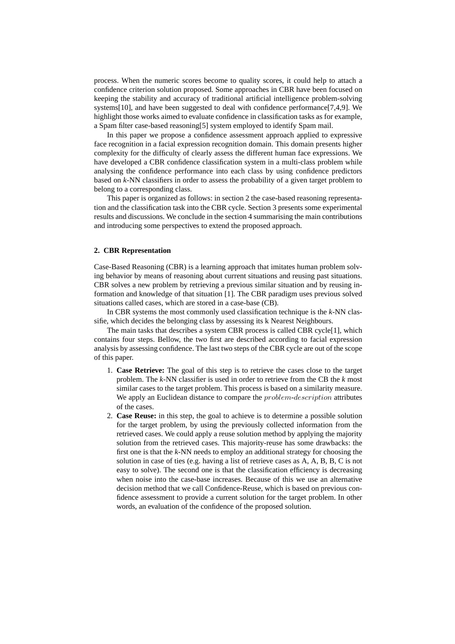process. When the numeric scores become to quality scores, it could help to attach a confidence criterion solution proposed. Some approaches in CBR have been focused on keeping the stability and accuracy of traditional artificial intelligence problem-solving systems[10], and have been suggested to deal with confidence performance[7,4,9]. We highlight those works aimed to evaluate confidence in classification tasks as for example, a Spam filter case-based reasoning[5] system employed to identify Spam mail.

In this paper we propose a confidence assessment approach applied to expressive face recognition in a facial expression recognition domain. This domain presents higher complexity for the difficulty of clearly assess the different human face expressions. We have developed a CBR confidence classification system in a multi-class problem while analysing the confidence performance into each class by using confidence predictors based on *k*-NN classifiers in order to assess the probability of a given target problem to belong to a corresponding class.

This paper is organized as follows: in section 2 the case-based reasoning representation and the classification task into the CBR cycle. Section 3 presents some experimental results and discussions. We conclude in the section 4 summarising the main contributions and introducing some perspectives to extend the proposed approach.

## **2. CBR Representation**

Case-Based Reasoning (CBR) is a learning approach that imitates human problem solving behavior by means of reasoning about current situations and reusing past situations. CBR solves a new problem by retrieving a previous similar situation and by reusing information and knowledge of that situation [1]. The CBR paradigm uses previous solved situations called cases, which are stored in a case-base (CB).

In CBR systems the most commonly used classification technique is the *k*-NN classifie, which decides the belonging class by assessing its k Nearest Neighbours.

The main tasks that describes a system CBR process is called CBR cycle[1], which contains four steps. Bellow, the two first are described according to facial expression analysis by assessing confidence. The last two steps of the CBR cycle are out of the scope of this paper.

- 1. **Case Retrieve:** The goal of this step is to retrieve the cases close to the target problem. The *k*-NN classifier is used in order to retrieve from the CB the *k* most similar cases to the target problem. This process is based on a similarity measure. We apply an Euclidean distance to compare the *problem-description* attributes of the cases.
- 2. **Case Reuse:** in this step, the goal to achieve is to determine a possible solution for the target problem, by using the previously collected information from the retrieved cases. We could apply a reuse solution method by applying the majority solution from the retrieved cases. This majority-reuse has some drawbacks: the first one is that the *k*-NN needs to employ an additional strategy for choosing the solution in case of ties (e.g. having a list of retrieve cases as A, A, B, B, C is not easy to solve). The second one is that the classification efficiency is decreasing when noise into the case-base increases. Because of this we use an alternative decision method that we call Confidence-Reuse, which is based on previous confidence assessment to provide a current solution for the target problem. In other words, an evaluation of the confidence of the proposed solution.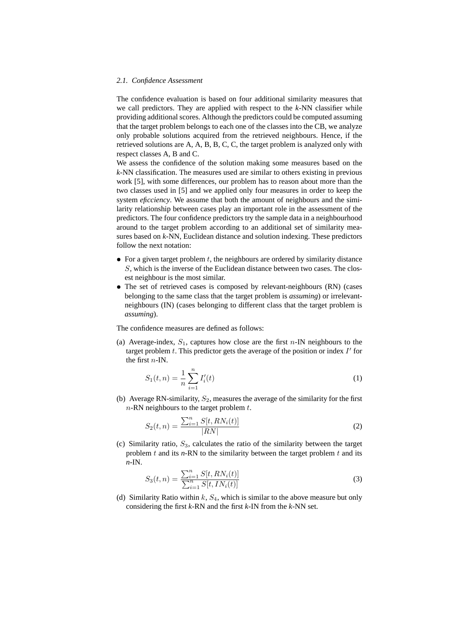#### *2.1. Confidence Assessment*

The confidence evaluation is based on four additional similarity measures that we call predictors. They are applied with respect to the *k*-NN classifier while providing additional scores. Although the predictors could be computed assuming that the target problem belongs to each one of the classes into the CB, we analyze only probable solutions acquired from the retrieved neighbours. Hence, if the retrieved solutions are A, A, B, B, C, C, the target problem is analyzed only with respect classes A, B and C.

We assess the confidence of the solution making some measures based on the *k*-NN classification. The measures used are similar to others existing in previous work [5], with some differences, our problem has to reason about more than the two classes used in [5] and we applied only four measures in order to keep the system *eficciency*. We assume that both the amount of neighbours and the similarity relationship between cases play an important role in the assessment of the predictors. The four confidence predictors try the sample data in a neighbourhood around to the target problem according to an additional set of similarity measures based on *k*-NN, Euclidean distance and solution indexing. These predictors follow the next notation:

- For a given target problem  $t$ , the neighbours are ordered by similarity distance S, which is the inverse of the Euclidean distance between two cases. The closest neighbour is the most similar.
- The set of retrieved cases is composed by relevant-neighbours (RN) (cases belonging to the same class that the target problem is *assuming*) or irrelevantneighbours (IN) (cases belonging to different class that the target problem is *assuming*).

The confidence measures are defined as follows:

(a) Average-index,  $S_1$ , captures how close are the first n-IN neighbours to the target problem  $t$ . This predictor gets the average of the position or index  $I'$  for the first  $n$ -IN.

$$
S_1(t,n) = \frac{1}{n} \sum_{i=1}^n I'_i(t)
$$
 (1)

(b) Average RN-similarity,  $S_2$ , measures the average of the similarity for the first  $n-RN$  neighbours to the target problem  $t$ .

$$
S_2(t, n) = \frac{\sum_{i=1}^{n} S[t, RN_i(t)]}{|RN|} \tag{2}
$$

(c) Similarity ratio,  $S_3$ , calculates the ratio of the similarity between the target problem  $t$  and its  $n-RN$  to the similarity between the target problem  $t$  and its *n*-IN.

$$
S_3(t,n) = \frac{\sum_{i=1}^n S[t, RN_i(t)]}{\sum_{i=1}^n S[t, IN_i(t)]}
$$
\n(3)

(d) Similarity Ratio within  $k$ ,  $S_4$ , which is similar to the above measure but only considering the first *k*-RN and the first *k*-IN from the *k*-NN set.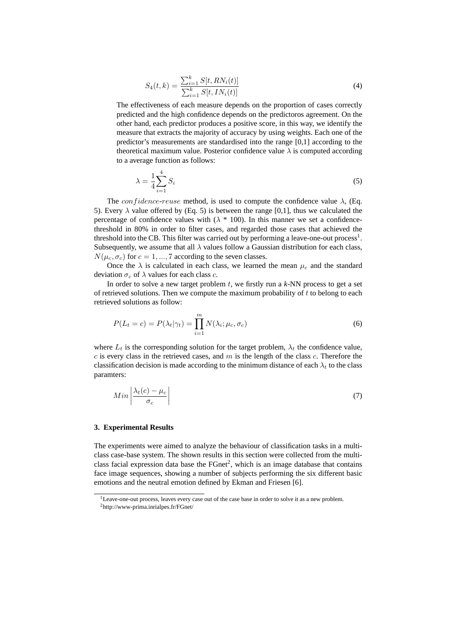$$
S_4(t,k) = \frac{\sum_{i=1}^k S[t, RN_i(t)]}{\sum_{i=1}^k S[t, IN_i(t)]}
$$
\n(4)

The effectiveness of each measure depends on the proportion of cases correctly predicted and the high confidence depends on the predictoros agreement. On the other hand, each predictor produces a positive score, in this way, we identify the measure that extracts the majority of accuracy by using weights. Each one of the predictor's measurements are standardised into the range [0,1] according to the theoretical maximum value. Posterior confidence value  $\lambda$  is computed according to a average function as follows:

$$
\lambda = \frac{1}{4} \sum_{i=1}^{4} S_i \tag{5}
$$

The *confidence-reuse* method, is used to compute the confidence value  $\lambda$ , (Eq. 5). Every  $\lambda$  value offered by (Eq. 5) is between the range [0,1], thus we calculated the percentage of confidence values with  $(\lambda * 100)$ . In this manner we set a confidencethreshold in 80% in order to filter cases, and regarded those cases that achieved the threshold into the CB. This filter was carried out by performing a leave-one-out process<sup>1</sup>. Subsequently, we assume that all  $\lambda$  values follow a Gaussian distribution for each class,  $N(\mu_c, \sigma_c)$  for  $c = 1, ..., 7$  according to the seven classes.

Once the  $\lambda$  is calculated in each class, we learned the mean  $\mu_c$  and the standard deviation  $\sigma_c$  of  $\lambda$  values for each class c.

In order to solve a new target problem  $t$ , we firstly run a  $k$ -NN process to get a set of retrieved solutions. Then we compute the maximum probability of  $t$  to belong to each retrieved solutions as follow:

$$
P(L_t = c) = P(\lambda_t | \gamma_t) = \prod_{i=1}^{m} N(\lambda_i; \mu_c, \sigma_c)
$$
\n(6)

where  $L_t$  is the corresponding solution for the target problem,  $\lambda_t$  the confidence value,  $c$  is every class in the retrieved cases, and  $m$  is the length of the class  $c$ . Therefore the classification decision is made according to the minimum distance of each  $\lambda_t$  to the class paramters:

$$
Min\left|\frac{\lambda_t(c) - \mu_c}{\sigma_c}\right| \tag{7}
$$

## **3. Experimental Results**

The experiments were aimed to analyze the behaviour of classification tasks in a multiclass case-base system. The shown results in this section were collected from the multiclass facial expression data base the  $FGnet<sup>2</sup>$ , which is an image database that contains face image sequences, showing a number of subjects performing the six different basic emotions and the neutral emotion defined by Ekman and Friesen [6].

<sup>&</sup>lt;sup>1</sup>Leave-one-out process, leaves every case out of the case base in order to solve it as a new problem. <sup>2</sup>http://www-prima.inrialpes.fr/FGnet/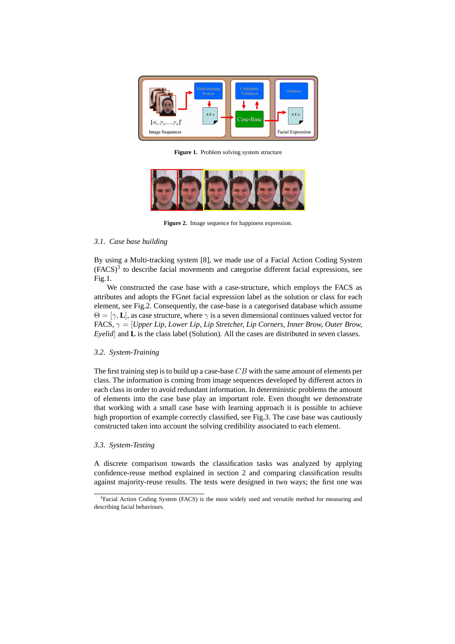

**Figure 1.** Problem solving system structure



**Figure 2.** Image sequence for happiness expression.

# *3.1. Case base building*

By using a Multi-tracking system [8], we made use of a Facial Action Coding System  $(FACS)<sup>3</sup>$  to describe facial movements and categorise different facial expressions, see Fig.1.

We constructed the case base with a case-structure, which employs the FACS as attributes and adopts the FGnet facial expression label as the solution or class for each element, see Fig.2. Consequently, the case-base is a categorised database which assume  $\Theta = [\gamma, L]$ , as case structure, where  $\gamma$  is a seven dimensional continues valued vector for FACS, γ = [*Upper Lip, Lower Lip, Lip Stretcher, Lip Corners, Inner Brow, Outer Brow, Eyelid*] and **L** is the class label (Solution). All the cases are distributed in seven classes.

## *3.2. System-Training*

The first training step is to build up a case-base  $CB$  with the same amount of elements per class. The information is coming from image sequences developed by different actors in each class in order to avoid redundant information. In deterministic problems the amount of elements into the case base play an important role. Even thought we demonstrate that working with a small case base with learning approach it is possible to achieve high proportion of example correctly classified, see Fig.3. The case base was cautiously constructed taken into account the solving credibility associated to each element.

# *3.3. System-Testing*

A discrete comparison towards the classification tasks was analyzed by applying confidence-reuse method explained in section 2 and comparing classification results against majority-reuse results. The tests were designed in two ways; the first one was

<sup>&</sup>lt;sup>3</sup>Facial Action Coding System (FACS) is the most widely used and versatile method for measuring and describing facial behaviours.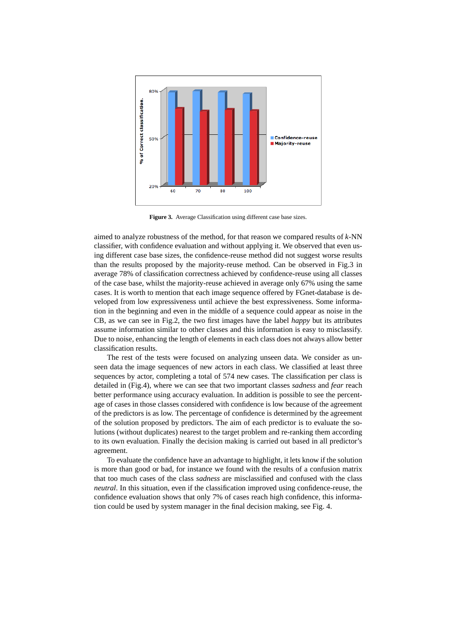

**Figure 3.** Average Classification using different case base sizes.

aimed to analyze robustness of the method, for that reason we compared results of *k*-NN classifier, with confidence evaluation and without applying it. We observed that even using different case base sizes, the confidence-reuse method did not suggest worse results than the results proposed by the majority-reuse method. Can be observed in Fig.3 in average 78% of classification correctness achieved by confidence-reuse using all classes of the case base, whilst the majority-reuse achieved in average only 67% using the same cases. It is worth to mention that each image sequence offered by FGnet-database is developed from low expressiveness until achieve the best expressiveness. Some information in the beginning and even in the middle of a sequence could appear as noise in the CB, as we can see in Fig.2, the two first images have the label *happy* but its attributes assume information similar to other classes and this information is easy to misclassify. Due to noise, enhancing the length of elements in each class does not always allow better classification results.

The rest of the tests were focused on analyzing unseen data. We consider as unseen data the image sequences of new actors in each class. We classified at least three sequences by actor, completing a total of 574 new cases. The classification per class is detailed in (Fig.4), where we can see that two important classes *sadness* and *fear* reach better performance using accuracy evaluation. In addition is possible to see the percentage of cases in those classes considered with confidence is low because of the agreement of the predictors is as low. The percentage of confidence is determined by the agreement of the solution proposed by predictors. The aim of each predictor is to evaluate the solutions (without duplicates) nearest to the target problem and re-ranking them according to its own evaluation. Finally the decision making is carried out based in all predictor's agreement.

To evaluate the confidence have an advantage to highlight, it lets know if the solution is more than good or bad, for instance we found with the results of a confusion matrix that too much cases of the class *sadness* are misclassified and confused with the class *neutral*. In this situation, even if the classification improved using confidence-reuse, the confidence evaluation shows that only 7% of cases reach high confidence, this information could be used by system manager in the final decision making, see Fig. 4.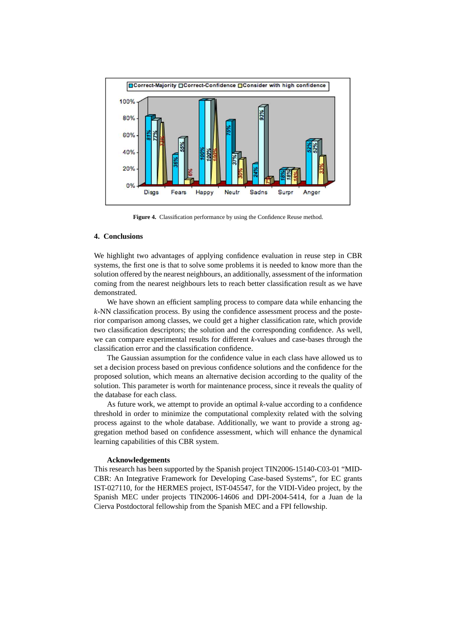

**Figure 4.** Classification performance by using the Confidence Reuse method.

#### **4. Conclusions**

We highlight two advantages of applying confidence evaluation in reuse step in CBR systems, the first one is that to solve some problems it is needed to know more than the solution offered by the nearest neighbours, an additionally, assessment of the information coming from the nearest neighbours lets to reach better classification result as we have demonstrated.

We have shown an efficient sampling process to compare data while enhancing the *k*-NN classification process. By using the confidence assessment process and the posterior comparison among classes, we could get a higher classification rate, which provide two classification descriptors; the solution and the corresponding confidence. As well, we can compare experimental results for different *k*-values and case-bases through the classification error and the classification confidence.

The Gaussian assumption for the confidence value in each class have allowed us to set a decision process based on previous confidence solutions and the confidence for the proposed solution, which means an alternative decision according to the quality of the solution. This parameter is worth for maintenance process, since it reveals the quality of the database for each class.

As future work, we attempt to provide an optimal *k*-value according to a confidence threshold in order to minimize the computational complexity related with the solving process against to the whole database. Additionally, we want to provide a strong aggregation method based on confidence assessment, which will enhance the dynamical learning capabilities of this CBR system.

#### **Acknowledgements**

This research has been supported by the Spanish project TIN2006-15140-C03-01 "MID-CBR: An Integrative Framework for Developing Case-based Systems", for EC grants IST-027110, for the HERMES project, IST-045547, for the VIDI-Video project, by the Spanish MEC under projects TIN2006-14606 and DPI-2004-5414, for a Juan de la Cierva Postdoctoral fellowship from the Spanish MEC and a FPI fellowship.